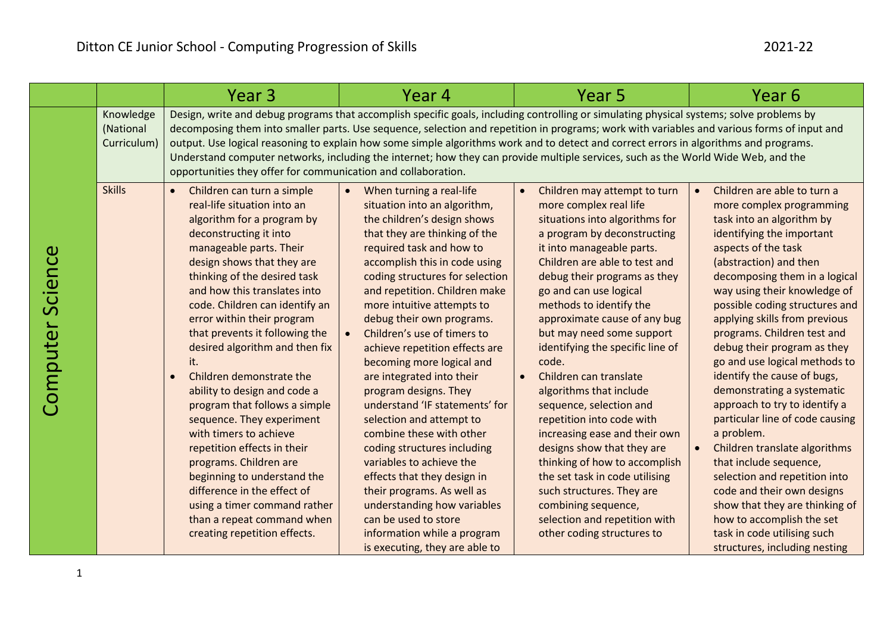|                  |                                       | Year <sub>3</sub>                                                                                                                                                                                                                                                                                                                                                                                                                                                                                                                                                                                                                                                                                                                                                           | Year 4                                                                                                                                                                                                                                                                                                                                                                                                                                                                                                                                                                                                                                                                                                                                                                                                                          | Year 5                                                                                                                                                                                                                                                                                                                                                                                                                                                                                                                                                                                                                                                                                                                                                              | Year 6                                                                                                                                                                                                                                                                                                                                                                                                                                                                                                                                                                                                                                                                                                                                                                                                                                  |  |
|------------------|---------------------------------------|-----------------------------------------------------------------------------------------------------------------------------------------------------------------------------------------------------------------------------------------------------------------------------------------------------------------------------------------------------------------------------------------------------------------------------------------------------------------------------------------------------------------------------------------------------------------------------------------------------------------------------------------------------------------------------------------------------------------------------------------------------------------------------|---------------------------------------------------------------------------------------------------------------------------------------------------------------------------------------------------------------------------------------------------------------------------------------------------------------------------------------------------------------------------------------------------------------------------------------------------------------------------------------------------------------------------------------------------------------------------------------------------------------------------------------------------------------------------------------------------------------------------------------------------------------------------------------------------------------------------------|---------------------------------------------------------------------------------------------------------------------------------------------------------------------------------------------------------------------------------------------------------------------------------------------------------------------------------------------------------------------------------------------------------------------------------------------------------------------------------------------------------------------------------------------------------------------------------------------------------------------------------------------------------------------------------------------------------------------------------------------------------------------|-----------------------------------------------------------------------------------------------------------------------------------------------------------------------------------------------------------------------------------------------------------------------------------------------------------------------------------------------------------------------------------------------------------------------------------------------------------------------------------------------------------------------------------------------------------------------------------------------------------------------------------------------------------------------------------------------------------------------------------------------------------------------------------------------------------------------------------------|--|
|                  | Knowledge<br>(National<br>Curriculum) | Design, write and debug programs that accomplish specific goals, including controlling or simulating physical systems; solve problems by<br>decomposing them into smaller parts. Use sequence, selection and repetition in programs; work with variables and various forms of input and<br>output. Use logical reasoning to explain how some simple algorithms work and to detect and correct errors in algorithms and programs.<br>Understand computer networks, including the internet; how they can provide multiple services, such as the World Wide Web, and the<br>opportunities they offer for communication and collaboration.                                                                                                                                      |                                                                                                                                                                                                                                                                                                                                                                                                                                                                                                                                                                                                                                                                                                                                                                                                                                 |                                                                                                                                                                                                                                                                                                                                                                                                                                                                                                                                                                                                                                                                                                                                                                     |                                                                                                                                                                                                                                                                                                                                                                                                                                                                                                                                                                                                                                                                                                                                                                                                                                         |  |
| Computer Science | <b>Skills</b>                         | Children can turn a simple<br>$\bullet$<br>real-life situation into an<br>algorithm for a program by<br>deconstructing it into<br>manageable parts. Their<br>design shows that they are<br>thinking of the desired task<br>and how this translates into<br>code. Children can identify an<br>error within their program<br>that prevents it following the<br>desired algorithm and then fix<br>it.<br>Children demonstrate the<br>ability to design and code a<br>program that follows a simple<br>sequence. They experiment<br>with timers to achieve<br>repetition effects in their<br>programs. Children are<br>beginning to understand the<br>difference in the effect of<br>using a timer command rather<br>than a repeat command when<br>creating repetition effects. | When turning a real-life<br>$\bullet$<br>situation into an algorithm,<br>the children's design shows<br>that they are thinking of the<br>required task and how to<br>accomplish this in code using<br>coding structures for selection<br>and repetition. Children make<br>more intuitive attempts to<br>debug their own programs.<br>Children's use of timers to<br>achieve repetition effects are<br>becoming more logical and<br>are integrated into their<br>program designs. They<br>understand 'IF statements' for<br>selection and attempt to<br>combine these with other<br>coding structures including<br>variables to achieve the<br>effects that they design in<br>their programs. As well as<br>understanding how variables<br>can be used to store<br>information while a program<br>is executing, they are able to | Children may attempt to turn<br>$\bullet$<br>more complex real life<br>situations into algorithms for<br>a program by deconstructing<br>it into manageable parts.<br>Children are able to test and<br>debug their programs as they<br>go and can use logical<br>methods to identify the<br>approximate cause of any bug<br>but may need some support<br>identifying the specific line of<br>code.<br>Children can translate<br>algorithms that include<br>sequence, selection and<br>repetition into code with<br>increasing ease and their own<br>designs show that they are<br>thinking of how to accomplish<br>the set task in code utilising<br>such structures. They are<br>combining sequence,<br>selection and repetition with<br>other coding structures to | Children are able to turn a<br>$\bullet$<br>more complex programming<br>task into an algorithm by<br>identifying the important<br>aspects of the task<br>(abstraction) and then<br>decomposing them in a logical<br>way using their knowledge of<br>possible coding structures and<br>applying skills from previous<br>programs. Children test and<br>debug their program as they<br>go and use logical methods to<br>identify the cause of bugs,<br>demonstrating a systematic<br>approach to try to identify a<br>particular line of code causing<br>a problem.<br>Children translate algorithms<br>$\bullet$<br>that include sequence,<br>selection and repetition into<br>code and their own designs<br>show that they are thinking of<br>how to accomplish the set<br>task in code utilising such<br>structures, including nesting |  |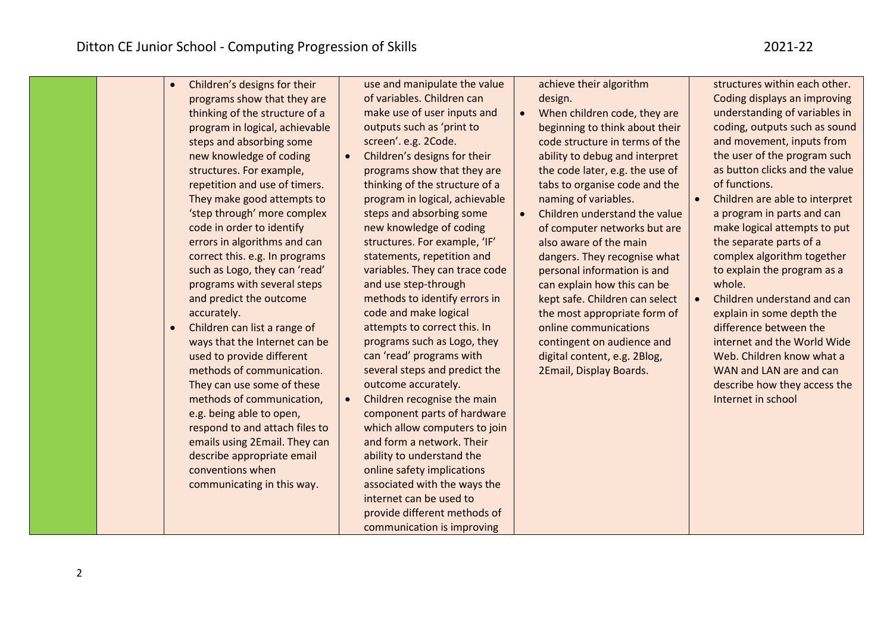| Children's designs for their<br>programs show that they are<br>thinking of the structure of a<br>program in logical, achievable<br>steps and absorbing some<br>new knowledge of coding<br>structures. For example,<br>repetition and use of timers.<br>They make good attempts to<br>'step through' more complex<br>code in order to identify<br>errors in algorithms and can<br>correct this. e.g. In programs<br>such as Logo, they can 'read'<br>programs with several steps<br>and predict the outcome<br>accurately.<br>Children can list a range of<br>$\bullet$<br>ways that the Internet can be<br>used to provide different<br>methods of communication.<br>They can use some of these<br>methods of communication,<br>e.g. being able to open,<br>respond to and attach files to<br>emails using 2Email. They can | of variables. Children can<br>make use of user inputs and<br>outputs such as 'print to<br>screen'. e.g. 2Code.<br>Children's designs for their<br>programs show that they are<br>thinking of the structure of a<br>program in logical, achievable<br>steps and absorbing some<br>new knowledge of coding<br>structures. For example, 'IF'<br>statements, repetition and<br>variables. They can trace code<br>and use step-through<br>methods to identify errors in<br>code and make logical<br>attempts to correct this. In<br>programs such as Logo, they<br>can 'read' programs with<br>several steps and predict the | design.<br>When children code, they are<br>$\bullet$<br>beginning to think about their<br>code structure in terms of the<br>ability to debug and interpret<br>the code later, e.g. the use of<br>tabs to organise code and the<br>naming of variables.<br>Children understand the value<br>$\bullet$<br>of computer networks but are<br>also aware of the main<br>dangers. They recognise what<br>personal information is and<br>can explain how this can be<br>kept safe. Children can select<br>the most appropriate form of<br>online communications<br>contingent on audience and<br>digital content, e.g. 2Blog,<br>2Email, Display Boards. | Coding displays an improving<br>understanding of variables in<br>coding, outputs such as sound<br>and movement, inputs from<br>the user of the program such<br>as button clicks and the value<br>of functions.<br>Children are able to interpret<br>a program in parts and can<br>make logical attempts to put<br>the separate parts of a<br>complex algorithm together<br>to explain the program as a<br>whole.<br>Children understand and can<br>explain in some depth the<br>difference between the<br>internet and the World Wide<br>Web. Children know what a<br>WAN and LAN are and can |
|-----------------------------------------------------------------------------------------------------------------------------------------------------------------------------------------------------------------------------------------------------------------------------------------------------------------------------------------------------------------------------------------------------------------------------------------------------------------------------------------------------------------------------------------------------------------------------------------------------------------------------------------------------------------------------------------------------------------------------------------------------------------------------------------------------------------------------|-------------------------------------------------------------------------------------------------------------------------------------------------------------------------------------------------------------------------------------------------------------------------------------------------------------------------------------------------------------------------------------------------------------------------------------------------------------------------------------------------------------------------------------------------------------------------------------------------------------------------|--------------------------------------------------------------------------------------------------------------------------------------------------------------------------------------------------------------------------------------------------------------------------------------------------------------------------------------------------------------------------------------------------------------------------------------------------------------------------------------------------------------------------------------------------------------------------------------------------------------------------------------------------|-----------------------------------------------------------------------------------------------------------------------------------------------------------------------------------------------------------------------------------------------------------------------------------------------------------------------------------------------------------------------------------------------------------------------------------------------------------------------------------------------------------------------------------------------------------------------------------------------|
|-----------------------------------------------------------------------------------------------------------------------------------------------------------------------------------------------------------------------------------------------------------------------------------------------------------------------------------------------------------------------------------------------------------------------------------------------------------------------------------------------------------------------------------------------------------------------------------------------------------------------------------------------------------------------------------------------------------------------------------------------------------------------------------------------------------------------------|-------------------------------------------------------------------------------------------------------------------------------------------------------------------------------------------------------------------------------------------------------------------------------------------------------------------------------------------------------------------------------------------------------------------------------------------------------------------------------------------------------------------------------------------------------------------------------------------------------------------------|--------------------------------------------------------------------------------------------------------------------------------------------------------------------------------------------------------------------------------------------------------------------------------------------------------------------------------------------------------------------------------------------------------------------------------------------------------------------------------------------------------------------------------------------------------------------------------------------------------------------------------------------------|-----------------------------------------------------------------------------------------------------------------------------------------------------------------------------------------------------------------------------------------------------------------------------------------------------------------------------------------------------------------------------------------------------------------------------------------------------------------------------------------------------------------------------------------------------------------------------------------------|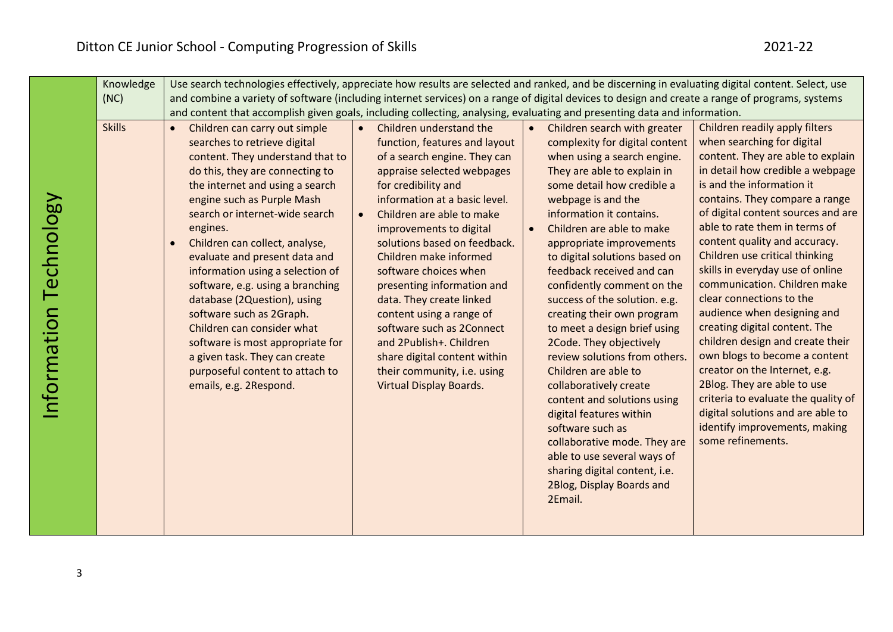| Knowledge     | Use search technologies effectively, appreciate how results are selected and ranked, and be discerning in evaluating digital content. Select, use                                                                                                                                                                                                                                                                                                                                                                                                                                                                                                   |                                                                                                                                                                                                                                                                                                                                                                                                                                                                                                                                                                                             |                        |                                                                                                                                                                                                                                                                                                                                                                                                                                                                                                                                                                                                                                                                                                                                                                                                      |                                                                                                                                                                                                                                                                                                                                                                                                                                                                                                                                                                                                                                                                                                                                                                                       |  |
|---------------|-----------------------------------------------------------------------------------------------------------------------------------------------------------------------------------------------------------------------------------------------------------------------------------------------------------------------------------------------------------------------------------------------------------------------------------------------------------------------------------------------------------------------------------------------------------------------------------------------------------------------------------------------------|---------------------------------------------------------------------------------------------------------------------------------------------------------------------------------------------------------------------------------------------------------------------------------------------------------------------------------------------------------------------------------------------------------------------------------------------------------------------------------------------------------------------------------------------------------------------------------------------|------------------------|------------------------------------------------------------------------------------------------------------------------------------------------------------------------------------------------------------------------------------------------------------------------------------------------------------------------------------------------------------------------------------------------------------------------------------------------------------------------------------------------------------------------------------------------------------------------------------------------------------------------------------------------------------------------------------------------------------------------------------------------------------------------------------------------------|---------------------------------------------------------------------------------------------------------------------------------------------------------------------------------------------------------------------------------------------------------------------------------------------------------------------------------------------------------------------------------------------------------------------------------------------------------------------------------------------------------------------------------------------------------------------------------------------------------------------------------------------------------------------------------------------------------------------------------------------------------------------------------------|--|
| (NC)          | and combine a variety of software (including internet services) on a range of digital devices to design and create a range of programs, systems                                                                                                                                                                                                                                                                                                                                                                                                                                                                                                     |                                                                                                                                                                                                                                                                                                                                                                                                                                                                                                                                                                                             |                        |                                                                                                                                                                                                                                                                                                                                                                                                                                                                                                                                                                                                                                                                                                                                                                                                      |                                                                                                                                                                                                                                                                                                                                                                                                                                                                                                                                                                                                                                                                                                                                                                                       |  |
|               | and content that accomplish given goals, including collecting, analysing, evaluating and presenting data and information.                                                                                                                                                                                                                                                                                                                                                                                                                                                                                                                           |                                                                                                                                                                                                                                                                                                                                                                                                                                                                                                                                                                                             |                        |                                                                                                                                                                                                                                                                                                                                                                                                                                                                                                                                                                                                                                                                                                                                                                                                      |                                                                                                                                                                                                                                                                                                                                                                                                                                                                                                                                                                                                                                                                                                                                                                                       |  |
| <b>Skills</b> | Children can carry out simple<br>$\bullet$<br>searches to retrieve digital<br>content. They understand that to<br>do this, they are connecting to<br>the internet and using a search<br>engine such as Purple Mash<br>search or internet-wide search<br>engines.<br>Children can collect, analyse,<br>$\bullet$<br>evaluate and present data and<br>information using a selection of<br>software, e.g. using a branching<br>database (2Question), using<br>software such as 2Graph.<br>Children can consider what<br>software is most appropriate for<br>a given task. They can create<br>purposeful content to attach to<br>emails, e.g. 2Respond. | Children understand the<br>$\bullet$<br>function, features and layout<br>of a search engine. They can<br>appraise selected webpages<br>for credibility and<br>information at a basic level.<br>Children are able to make<br>$\bullet$<br>improvements to digital<br>solutions based on feedback.<br>Children make informed<br>software choices when<br>presenting information and<br>data. They create linked<br>content using a range of<br>software such as 2Connect<br>and 2Publish+. Children<br>share digital content within<br>their community, i.e. using<br>Virtual Display Boards. | $\bullet$<br>$\bullet$ | Children search with greater<br>complexity for digital content<br>when using a search engine.<br>They are able to explain in<br>some detail how credible a<br>webpage is and the<br>information it contains.<br>Children are able to make<br>appropriate improvements<br>to digital solutions based on<br>feedback received and can<br>confidently comment on the<br>success of the solution. e.g.<br>creating their own program<br>to meet a design brief using<br>2Code. They objectively<br>review solutions from others.<br>Children are able to<br>collaboratively create<br>content and solutions using<br>digital features within<br>software such as<br>collaborative mode. They are<br>able to use several ways of<br>sharing digital content, i.e.<br>2Blog, Display Boards and<br>2Email. | Children readily apply filters<br>when searching for digital<br>content. They are able to explain<br>in detail how credible a webpage<br>is and the information it<br>contains. They compare a range<br>of digital content sources and are<br>able to rate them in terms of<br>content quality and accuracy.<br>Children use critical thinking<br>skills in everyday use of online<br>communication. Children make<br>clear connections to the<br>audience when designing and<br>creating digital content. The<br>children design and create their<br>own blogs to become a content<br>creator on the Internet, e.g.<br>2Blog. They are able to use<br>criteria to evaluate the quality of<br>digital solutions and are able to<br>identify improvements, making<br>some refinements. |  |

Information Technology

Information Technology